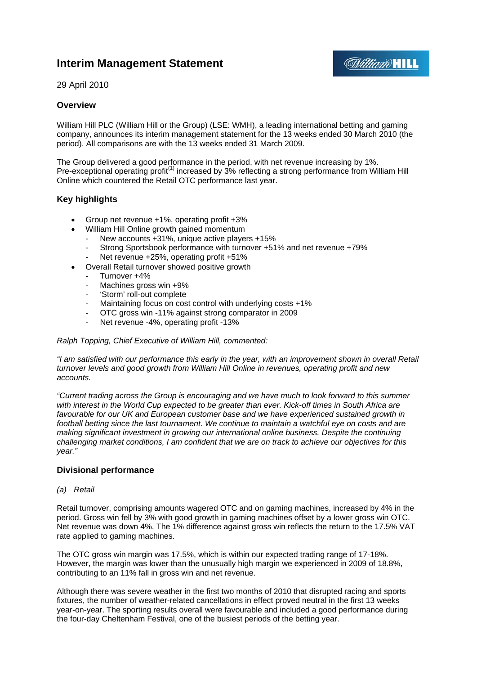# **Interim Management Statement**



29 April 2010

## **Overview**

William Hill PLC (William Hill or the Group) (LSE: WMH), a leading international betting and gaming company, announces its interim management statement for the 13 weeks ended 30 March 2010 (the period). All comparisons are with the 13 weeks ended 31 March 2009.

The Group delivered a good performance in the period, with net revenue increasing by 1%. Pre-exceptional operating profit<sup>(1)</sup> increased by 3% reflecting a strong performance from William Hill Online which countered the Retail OTC performance last year.

## **Key highlights**

- Group net revenue +1%, operating profit +3%
- William Hill Online growth gained momentum
	- New accounts +31%, unique active players +15%
	- Strong Sportsbook performance with turnover +51% and net revenue +79%
	- Net revenue +25%, operating profit +51%
- Overall Retail turnover showed positive growth
	- Turnover +4%
		- Machines gross win +9%
		- 'Storm' roll-out complete
		- Maintaining focus on cost control with underlying costs +1%
	- OTC gross win -11% against strong comparator in 2009
	- Net revenue -4%, operating profit -13%

*Ralph Topping, Chief Executive of William Hill, commented:* 

*"I am satisfied with our performance this early in the year, with an improvement shown in overall Retail turnover levels and good growth from William Hill Online in revenues, operating profit and new accounts.* 

*"Current trading across the Group is encouraging and we have much to look forward to this summer with interest in the World Cup expected to be greater than ever. Kick-off times in South Africa are*  favourable for our UK and European customer base and we have experienced sustained growth in *football betting since the last tournament. We continue to maintain a watchful eye on costs and are making significant investment in growing our international online business. Despite the continuing challenging market conditions, I am confident that we are on track to achieve our objectives for this year."* 

## **Divisional performance**

#### *(a) Retail*

Retail turnover, comprising amounts wagered OTC and on gaming machines, increased by 4% in the period. Gross win fell by 3% with good growth in gaming machines offset by a lower gross win OTC. Net revenue was down 4%. The 1% difference against gross win reflects the return to the 17.5% VAT rate applied to gaming machines.

The OTC gross win margin was 17.5%, which is within our expected trading range of 17-18%. However, the margin was lower than the unusually high margin we experienced in 2009 of 18.8%, contributing to an 11% fall in gross win and net revenue.

Although there was severe weather in the first two months of 2010 that disrupted racing and sports fixtures, the number of weather-related cancellations in effect proved neutral in the first 13 weeks year-on-year. The sporting results overall were favourable and included a good performance during the four-day Cheltenham Festival, one of the busiest periods of the betting year.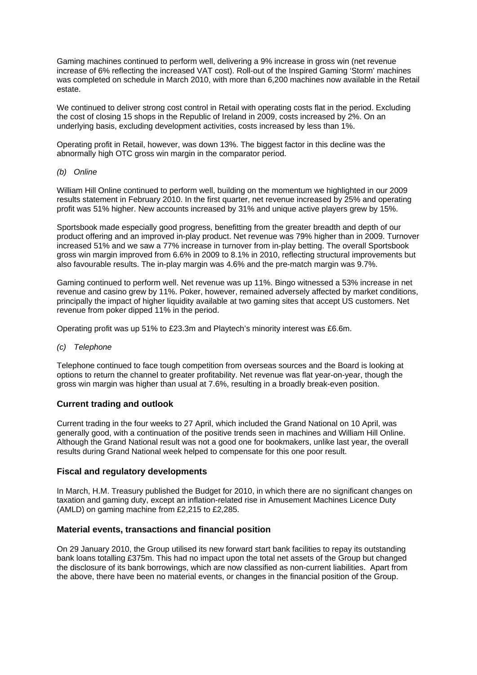Gaming machines continued to perform well, delivering a 9% increase in gross win (net revenue increase of 6% reflecting the increased VAT cost). Roll-out of the Inspired Gaming 'Storm' machines was completed on schedule in March 2010, with more than 6,200 machines now available in the Retail estate.

We continued to deliver strong cost control in Retail with operating costs flat in the period. Excluding the cost of closing 15 shops in the Republic of Ireland in 2009, costs increased by 2%. On an underlying basis, excluding development activities, costs increased by less than 1%.

Operating profit in Retail, however, was down 13%. The biggest factor in this decline was the abnormally high OTC gross win margin in the comparator period.

*(b) Online* 

William Hill Online continued to perform well, building on the momentum we highlighted in our 2009 results statement in February 2010. In the first quarter, net revenue increased by 25% and operating profit was 51% higher. New accounts increased by 31% and unique active players grew by 15%.

Sportsbook made especially good progress, benefitting from the greater breadth and depth of our product offering and an improved in-play product. Net revenue was 79% higher than in 2009. Turnover increased 51% and we saw a 77% increase in turnover from in-play betting. The overall Sportsbook gross win margin improved from 6.6% in 2009 to 8.1% in 2010, reflecting structural improvements but also favourable results. The in-play margin was 4.6% and the pre-match margin was 9.7%.

Gaming continued to perform well. Net revenue was up 11%. Bingo witnessed a 53% increase in net revenue and casino grew by 11%. Poker, however, remained adversely affected by market conditions, principally the impact of higher liquidity available at two gaming sites that accept US customers. Net revenue from poker dipped 11% in the period.

Operating profit was up 51% to £23.3m and Playtech's minority interest was £6.6m.

*(c) Telephone* 

Telephone continued to face tough competition from overseas sources and the Board is looking at options to return the channel to greater profitability. Net revenue was flat year-on-year, though the gross win margin was higher than usual at 7.6%, resulting in a broadly break-even position.

## **Current trading and outlook**

Current trading in the four weeks to 27 April, which included the Grand National on 10 April, was generally good, with a continuation of the positive trends seen in machines and William Hill Online. Although the Grand National result was not a good one for bookmakers, unlike last year, the overall results during Grand National week helped to compensate for this one poor result.

## **Fiscal and regulatory developments**

In March, H.M. Treasury published the Budget for 2010, in which there are no significant changes on taxation and gaming duty, except an inflation-related rise in Amusement Machines Licence Duty (AMLD) on gaming machine from £2,215 to £2,285.

## **Material events, transactions and financial position**

On 29 January 2010, the Group utilised its new forward start bank facilities to repay its outstanding bank loans totalling £375m. This had no impact upon the total net assets of the Group but changed the disclosure of its bank borrowings, which are now classified as non-current liabilities. Apart from the above, there have been no material events, or changes in the financial position of the Group.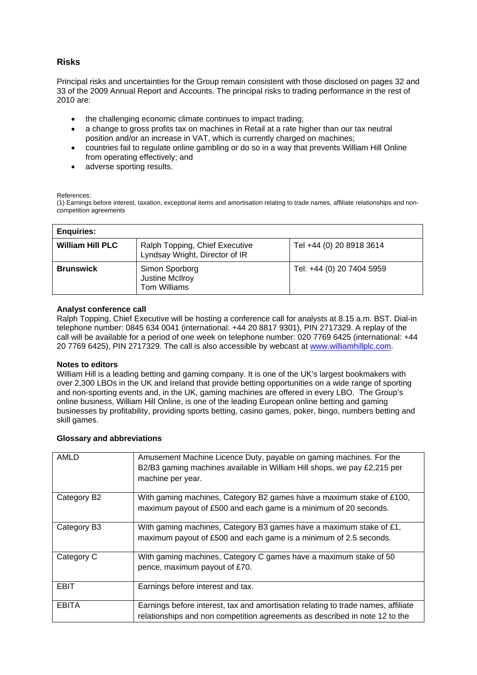## **Risks**

Principal risks and uncertainties for the Group remain consistent with those disclosed on pages 32 and 33 of the 2009 Annual Report and Accounts. The principal risks to trading performance in the rest of 2010 are:

- the challenging economic climate continues to impact trading;
- a change to gross profits tax on machines in Retail at a rate higher than our tax neutral position and/or an increase in VAT, which is currently charged on machines;
- countries fail to regulate online gambling or do so in a way that prevents William Hill Online from operating effectively; and
- adverse sporting results.

#### References:

(1) Earnings before interest, taxation, exceptional items and amortisation relating to trade names, affiliate relationships and noncompetition agreements

| <b>Enquiries:</b>       |                                                                  |                           |
|-------------------------|------------------------------------------------------------------|---------------------------|
| <b>William Hill PLC</b> | Ralph Topping, Chief Executive<br>Lyndsay Wright, Director of IR | Tel +44 (0) 20 8918 3614  |
| <b>Brunswick</b>        | Simon Sporborg<br>Justine McIlroy<br>Tom Williams                | Tel: +44 (0) 20 7404 5959 |

#### **Analyst conference call**

Ralph Topping, Chief Executive will be hosting a conference call for analysts at 8.15 a.m. BST. Dial-in telephone number: 0845 634 0041 (international: +44 20 8817 9301), PIN 2717329. A replay of the call will be available for a period of one week on telephone number: 020 7769 6425 (international: +44 20 7769 6425), PIN 2717329. The call is also accessible by webcast at www.williamhillplc.com.

#### **Notes to editors**

William Hill is a leading betting and gaming company. It is one of the UK's largest bookmakers with over 2,300 LBOs in the UK and Ireland that provide betting opportunities on a wide range of sporting and non-sporting events and, in the UK, gaming machines are offered in every LBO. The Group's online business, William Hill Online, is one of the leading European online betting and gaming businesses by profitability, providing sports betting, casino games, poker, bingo, numbers betting and skill games.

#### **Glossary and abbreviations**

| AMLD         | Amusement Machine Licence Duty, payable on gaming machines. For the<br>B2/B3 gaming machines available in William Hill shops, we pay £2,215 per<br>machine per year. |
|--------------|----------------------------------------------------------------------------------------------------------------------------------------------------------------------|
| Category B2  | With gaming machines, Category B2 games have a maximum stake of £100,<br>maximum payout of £500 and each game is a minimum of 20 seconds.                            |
| Category B3  | With gaming machines, Category B3 games have a maximum stake of £1,<br>maximum payout of £500 and each game is a minimum of 2.5 seconds.                             |
| Category C   | With gaming machines, Category C games have a maximum stake of 50<br>pence, maximum payout of £70.                                                                   |
| EBIT         | Earnings before interest and tax.                                                                                                                                    |
| <b>EBITA</b> | Earnings before interest, tax and amortisation relating to trade names, affiliate<br>relationships and non competition agreements as described in note 12 to the     |